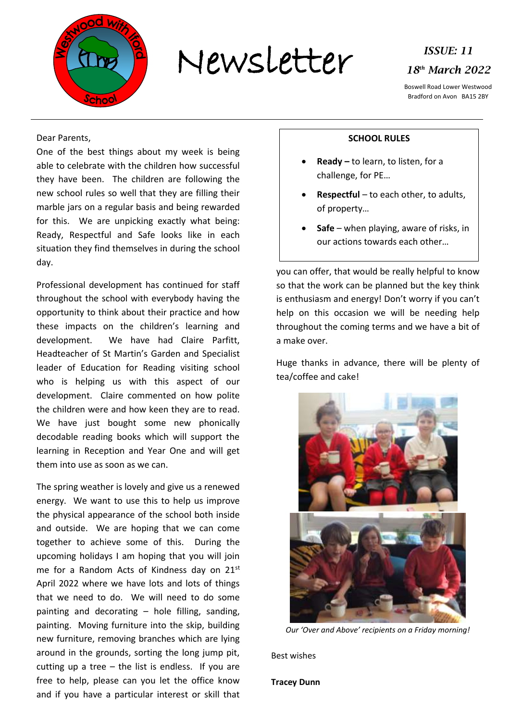

Newsletter *ISSUE: 11*

Boswell Road Lower Westwood Bradford on Avon BA15 2BY

### Dear Parents,

One of the best things about my week is being able to celebrate with the children how successful they have been. The children are following the new school rules so well that they are filling their marble jars on a regular basis and being rewarded for this. We are unpicking exactly what being: Ready, Respectful and Safe looks like in each situation they find themselves in during the school day.

Professional development has continued for staff throughout the school with everybody having the opportunity to think about their practice and how these impacts on the children's learning and development. We have had Claire Parfitt, Headteacher of St Martin's Garden and Specialist leader of Education for Reading visiting school who is helping us with this aspect of our development. Claire commented on how polite the children were and how keen they are to read. We have just bought some new phonically decodable reading books which will support the learning in Reception and Year One and will get them into use as soon as we can.

The spring weather is lovely and give us a renewed energy. We want to use this to help us improve the physical appearance of the school both inside and outside. We are hoping that we can come together to achieve some of this. During the upcoming holidays I am hoping that you will join me for a Random Acts of Kindness day on 21<sup>st</sup> April 2022 where we have lots and lots of things that we need to do. We will need to do some painting and decorating – hole filling, sanding, painting. Moving furniture into the skip, building new furniture, removing branches which are lying around in the grounds, sorting the long jump pit, cutting up a tree  $-$  the list is endless. If you are free to help, please can you let the office know and if you have a particular interest or skill that

### **SCHOOL RULES**

- **Ready –** to learn, to listen, for a challenge, for PE…
- **Respectful** to each other, to adults, of property…
- **Safe**  when playing, aware of risks, in our actions towards each other…

you can offer, that would be really helpful to know so that the work can be planned but the key think is enthusiasm and energy! Don't worry if you can't help on this occasion we will be needing help throughout the coming terms and we have a bit of a make over.

Huge thanks in advance, there will be plenty of tea/coffee and cake!



*Our 'Over and Above' recipients on a Friday morning!*

Best wishes

**Tracey Dunn**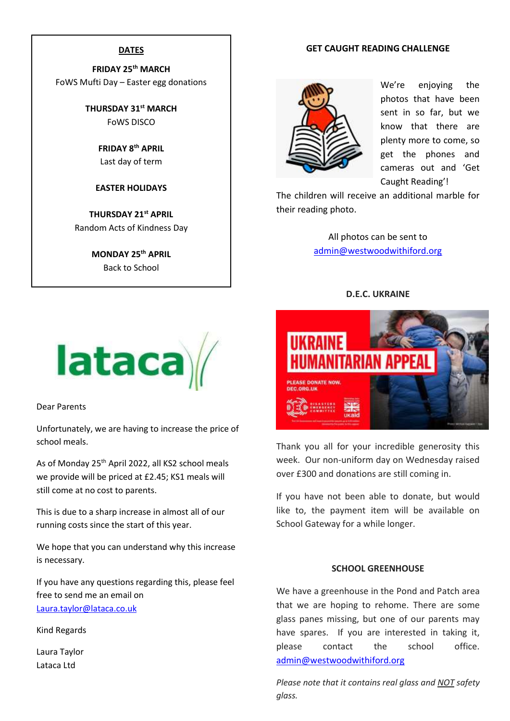### **GET CAUGHT READING CHALLENGE**

### **DATES**

**FRIDAY 25th MARCH** FoWS Mufti Day – Easter egg donations

> **THURSDAY 31st MARCH** FoWS DISCO

> > **FRIDAY 8th APRIL** Last day of term

**EASTER HOLIDAYS**

**THURSDAY 21st APRIL** Random Acts of Kindness Day

> **MONDAY 25th APRIL** Back to School



Dear Parents

Unfortunately, we are having to increase the price of school meals.

As of Monday 25<sup>th</sup> April 2022, all KS2 school meals we provide will be priced at £2.45; KS1 meals will still come at no cost to parents.

This is due to a sharp increase in almost all of our running costs since the start of this year.

We hope that you can understand why this increase is necessary.

If you have any questions regarding this, please feel free to send me an email on [Laura.taylor@lataca.co.uk](mailto:Laura.taylor@lataca.co.uk)

Kind Regards

Laura Taylor Lataca Ltd



We're enjoying the photos that have been sent in so far, but we know that there are plenty more to come, so get the phones and cameras out and 'Get Caught Reading'!

The children will receive an additional marble for their reading photo.

> All photos can be sent to [admin@westwoodwithiford.org](mailto:admin@westwoodwithiford.org)

### **D.E.C. UKRAINE**



Thank you all for your incredible generosity this week. Our non-uniform day on Wednesday raised over £300 and donations are still coming in.

If you have not been able to donate, but would like to, the payment item will be available on School Gateway for a while longer.

### **SCHOOL GREENHOUSE**

We have a greenhouse in the Pond and Patch area that we are hoping to rehome. There are some glass panes missing, but one of our parents may have spares. If you are interested in taking it, please contact the school office. [admin@westwoodwithiford.org](mailto:admin@westwoodwithiford.org)

*Please note that it contains real glass and NOT safety glass.*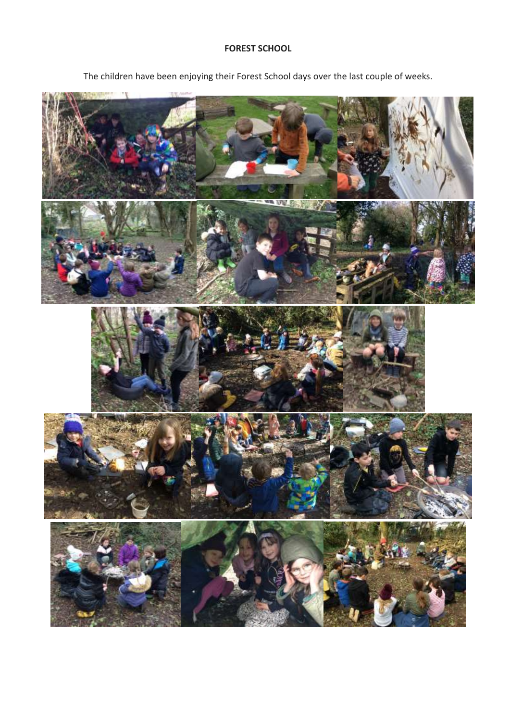### **FOREST SCHOOL**

The children have been enjoying their Forest School days over the last couple of weeks.

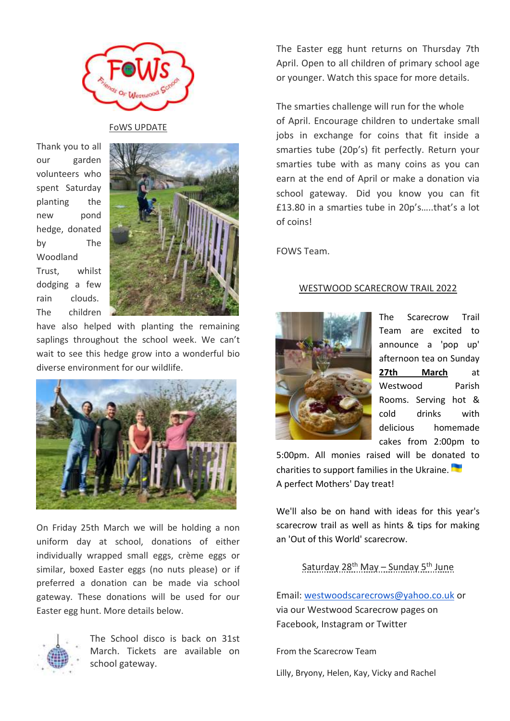

### FoWS UPDATE

Thank you to all our garden volunteers who spent Saturday planting the new pond hedge, donated by The Woodland Trust, whilst dodging a few rain clouds. The children



have also helped with planting the remaining saplings throughout the school week. We can't wait to see this hedge grow into a wonderful bio diverse environment for our wildlife.



On Friday 25th March we will be holding a non uniform day at school, donations of either individually wrapped small eggs, crème eggs or similar, boxed Easter eggs (no nuts please) or if preferred a donation can be made via school gateway. These donations will be used for our Easter egg hunt. More details below.



The School disco is back on 31st March. Tickets are available on school gateway.

The Easter egg hunt returns on Thursday 7th April. Open to all children of primary school age or younger. Watch this space for more details.

The smarties challenge will run for the whole of April. Encourage children to undertake small jobs in exchange for coins that fit inside a smarties tube (20p's) fit perfectly. Return your smarties tube with as many coins as you can earn at the end of April or make a donation via school gateway. Did you know you can fit £13.80 in a smarties tube in 20p's…..that's a lot of coins!

FOWS Team.

### WESTWOOD SCARECROW TRAIL 2022



The Scarecrow Trail Team are excited to announce a 'pop up' afternoon tea on Sunday **27th March** at Westwood Parish Rooms. Serving hot & cold drinks with delicious homemade cakes from 2:00pm to

5:00pm. All monies raised will be donated to charities to support families in the Ukraine. A perfect Mothers' Day treat!

We'll also be on hand with ideas for this year's scarecrow trail as well as hints & tips for making an 'Out of this World' scarecrow.

Saturday 28<sup>th</sup> May – Sunday 5<sup>th</sup> June

Email: [westwoodscarecrows@yahoo.co.uk](mailto:westwoodscarecrows@yahoo.co.uk) or via our Westwood Scarecrow pages on Facebook, Instagram or Twitter

From the Scarecrow Team

Lilly, Bryony, Helen, Kay, Vicky and Rachel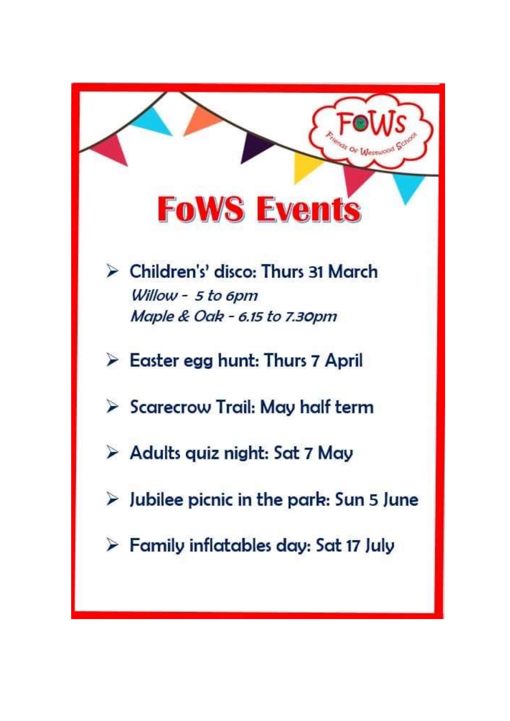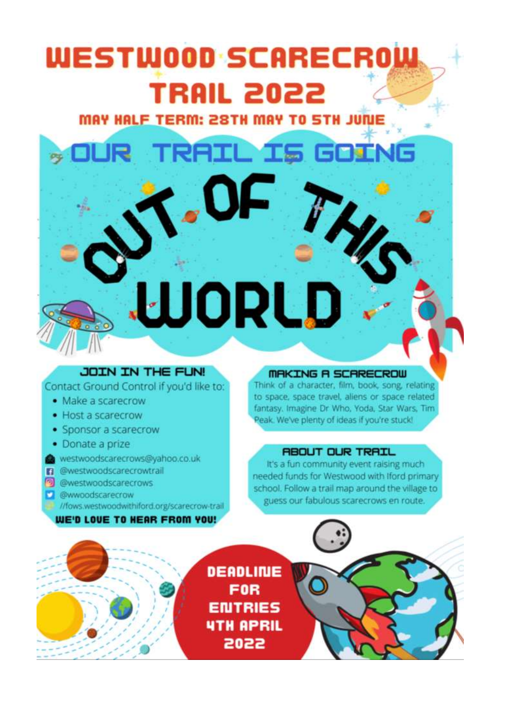# WESTWOOD SCARECROW **TRAIL 2022**

MAY HALF TERM: 28TH MAY TO 5TH JUNE

JJORL,

OUR TRAIL IS GOING

## JOIN IN THE FUN!

Contact Ground Control if you'd like to:

- · Make a scarecrow
- · Host a scarecrow
- · Sponsor a scarecrow
- · Donate a prize
- westwoodscarecrows@yahoo.co.uk
- <sup>2</sup> @westwoodscarecrowtrail
- owestwoodscarecrows
- **D** @wwoodscarecrow
- //fows.westwoodwithiford.org/scarecrow-trail

### WE'D LOVE TO HEAR FROM YOU!

### MAKING A SCARECROW

Think of a character, film, book, song, relating to space, space travel, aliens or space related fantasy, Imagine Dr Who, Yoda, Star Wars, Tim. Peak. We've plenty of ideas if you're stuck!

### **RBOUT OUR TRAIL**

It's a fun community event raising much needed funds for Westwood with Iford primary school. Follow a trail map around the village to guess our fabulous scarecrows en route.

DEADLINE **FOR ENTRIES** *<u>UTH APRIL</u>* 2022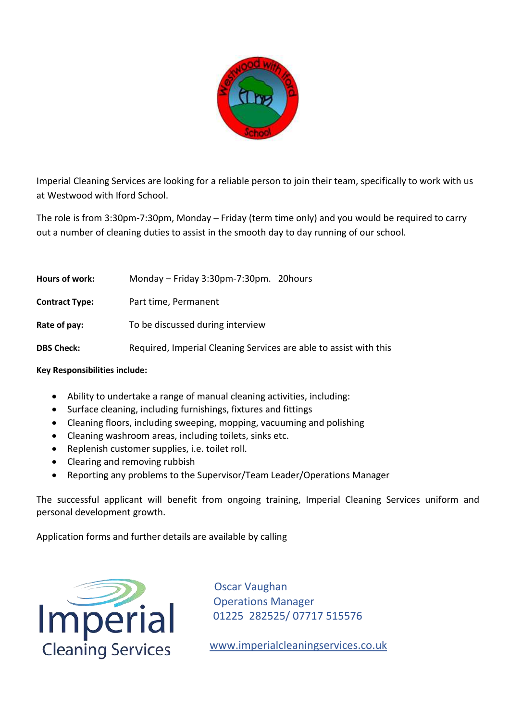

Imperial Cleaning Services are looking for a reliable person to join their team, specifically to work with us at Westwood with Iford School.

The role is from 3:30pm-7:30pm, Monday – Friday (term time only) and you would be required to carry out a number of cleaning duties to assist in the smooth day to day running of our school.

| Hours of work:        | Monday - Friday 3:30pm-7:30pm. 20hours                            |
|-----------------------|-------------------------------------------------------------------|
| <b>Contract Type:</b> | Part time, Permanent                                              |
| Rate of pay:          | To be discussed during interview                                  |
| <b>DBS Check:</b>     | Required, Imperial Cleaning Services are able to assist with this |

### **Key Responsibilities include:**

- Ability to undertake a range of manual cleaning activities, including:
- Surface cleaning, including furnishings, fixtures and fittings
- Cleaning floors, including sweeping, mopping, vacuuming and polishing
- Cleaning washroom areas, including toilets, sinks etc.
- Replenish customer supplies, i.e. toilet roll.
- Clearing and removing rubbish
- Reporting any problems to the Supervisor/Team Leader/Operations Manager

The successful applicant will benefit from ongoing training, Imperial Cleaning Services uniform and personal development growth.

Application forms and further details are available by calling



Oscar Vaughan Operations Manager 01225 282525/ 07717 515576

[www.imperialcleaningservices.co.uk](http://www.imperialcleaningservices.co.uk/)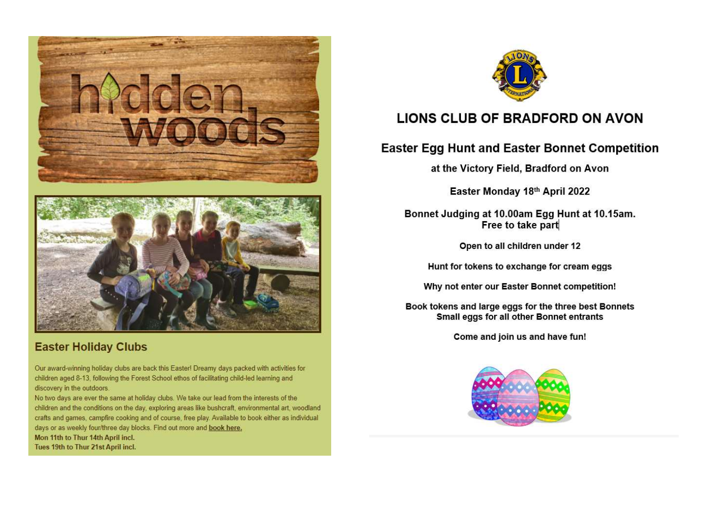

# **Easter Holiday Clubs**

Our award-winning holiday clubs are back this Easter! Dreamy days packed with activities for children aged 8-13, following the Forest School ethos of facilitating child-led learning and discovery in the outdoors.

No two days are ever the same at holiday clubs. We take our lead from the interests of the children and the conditions on the day, exploring areas like bushcraft, environmental art, woodland crafts and games, campfire cooking and of course, free play. Available to book either as individual days or as weekly four/three day blocks. Find out more and book here.

Mon 11th to Thur 14th April incl. Tues 19th to Thur 21st April incl.



# **LIONS CLUB OF BRADFORD ON AVON**

# **Easter Egg Hunt and Easter Bonnet Competition**

at the Victory Field, Bradford on Avon

Easter Monday 18th April 2022

Bonnet Judging at 10.00am Egg Hunt at 10.15am. Free to take part

Open to all children under 12

Hunt for tokens to exchange for cream eggs

Why not enter our Easter Bonnet competition!

Book tokens and large eggs for the three best Bonnets Small eqgs for all other Bonnet entrants

Come and join us and have fun!